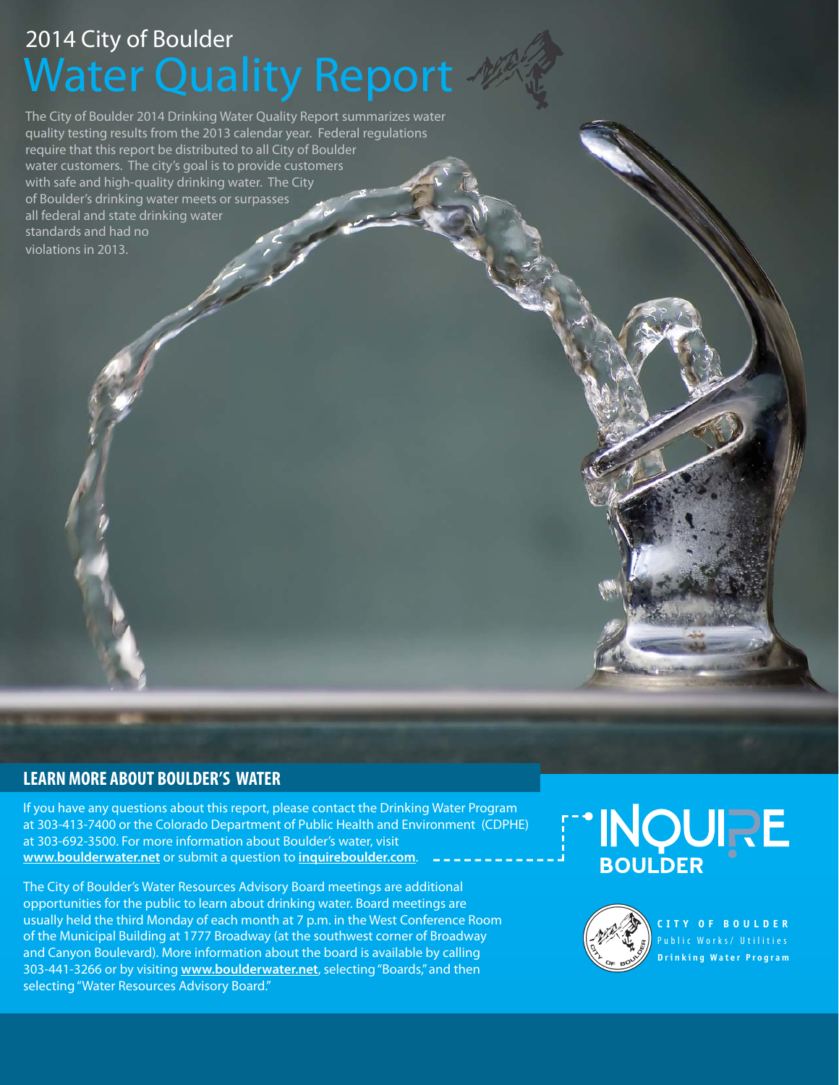## Water Quality Report 2014 City of Boulder

The City of Boulder 2014 Drinking Water Quality Report summarizes water quality testing results from the 2013 calendar year. Federal regulations require that this report be distributed to all City of Boulder water customers. The city's goal is to provide customers with safe and high-quality drinking water. The City of Boulder's drinking water meets or surpasses all federal and state drinking water standards and had no violations in 2013.

#### **LEARN MORE ABOUT BOULDER'S WATER**

If you have any questions about this report, please contact the Drinking Water Program at 303-413-7400 or the Colorado Department of Public Health and Environment (CDPHE) at 303-692-3500. For more information about Boulder's water, visit **www.boulderwater.net** or submit a question to **inquireboulder.com**.

The City of Boulder's Water Resources Advisory Board meetings are additional opportunities for the public to learn about drinking water. Board meetings are usually held the third Monday of each month at 7 p.m. in the West Conference Room of the Municipal Building at 1777 Broadway (at the southwest corner of Broadway and Canyon Boulevard). More information about the board is available by calling 303-441-3266 or by visiting **www.boulderwater.net**, selecting "Boards," and then selecting "Water Resources Advisory Board."

# "INQURE<br>BOULDER



**Drinking Water Program CITY OF BOULDER** ublic Works/ Utilities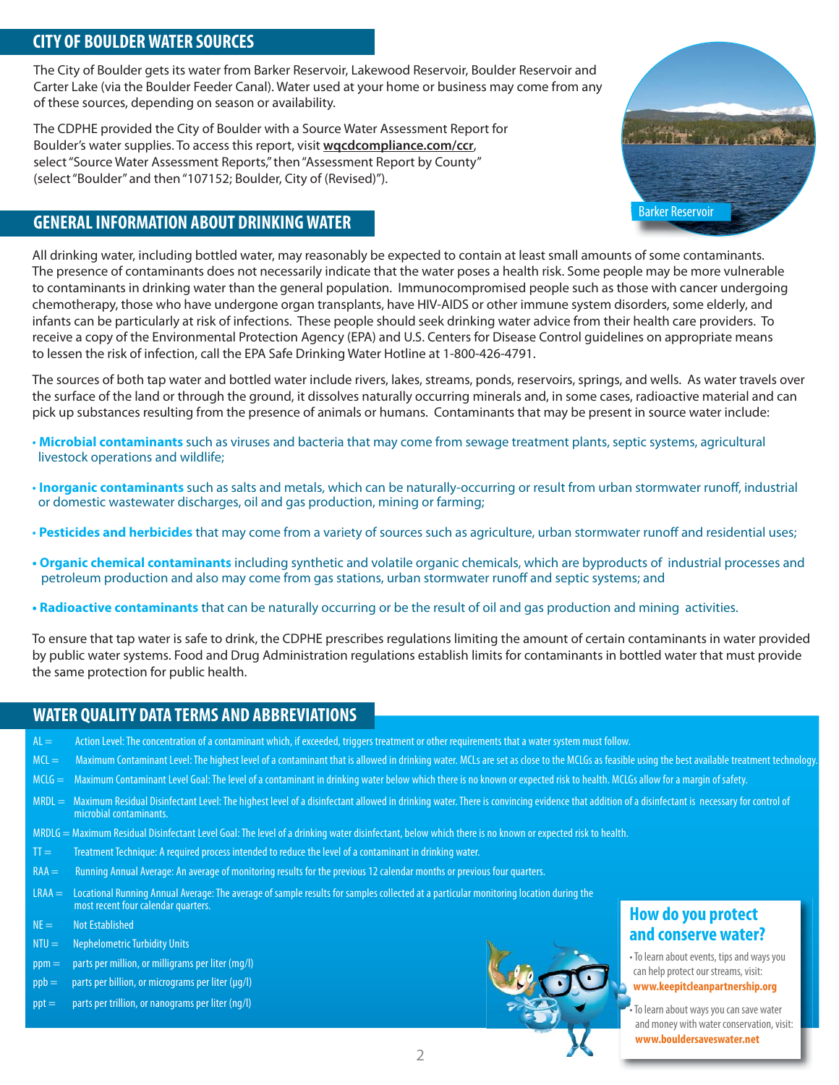#### **CITY OF BOULDER WATER SOURCES**

The City of Boulder gets its water from Barker Reservoir, Lakewood Reservoir, Boulder Reservoir and Carter Lake (via the Boulder Feeder Canal). Water used at your home or business may come from any of these sources, depending on season or availability.

The CDPHE provided the City of Boulder with a Source Water Assessment Report for Boulder's water supplies. To access this report, visit **wqcdcompliance.com/ccr**, select "Source Water Assessment Reports," then "Assessment Report by County" (select "Boulder" and then "107152; Boulder, City of (Revised)").

### **GENERAL INFORMATION ABOUT DRINKING WATER** BARKER BARKER BARKER BARKER BARKER BARKER BARKER BARKER BARKER BARKER BARKER BARKER BARKER BARKER BARKER BARKER BARKER BARKER BARKER BARKER BARKER BARKER BARKER BARKER BARKER BARK



All drinking water, including bottled water, may reasonably be expected to contain at least small amounts of some contaminants. The presence of contaminants does not necessarily indicate that the water poses a health risk. Some people may be more vulnerable to contaminants in drinking water than the general population. Immunocompromised people such as those with cancer undergoing chemotherapy, those who have undergone organ transplants, have HIV-AIDS or other immune system disorders, some elderly, and infants can be particularly at risk of infections. These people should seek drinking water advice from their health care providers. To receive a copy of the Environmental Protection Agency (EPA) and U.S. Centers for Disease Control guidelines on appropriate means to lessen the risk of infection, call the EPA Safe Drinking Water Hotline at 1-800-426-4791.

The sources of both tap water and bottled water include rivers, lakes, streams, ponds, reservoirs, springs, and wells. As water travels over the surface of the land or through the ground, it dissolves naturally occurring minerals and, in some cases, radioactive material and can pick up substances resulting from the presence of animals or humans. Contaminants that may be present in source water include:

- **Microbial contaminants** such as viruses and bacteria that may come from sewage treatment plants, septic systems, agricultural livestock operations and wildlife;
- **Inorganic contaminants** such as salts and metals, which can be naturally-occurring or result from urban stormwater runoff, industrial or domestic wastewater discharges, oil and gas production, mining or farming;
- **Pesticides and herbicides** that may come from a variety of sources such as agriculture, urban stormwater runoff and residential uses;
- **Organic chemical contaminants** including synthetic and volatile organic chemicals, which are byproducts of industrial processes and petroleum production and also may come from gas stations, urban stormwater runoff and septic systems; and
- **Radioactive contaminants** that can be naturally occurring or be the result of oil and gas production and mining activities.

To ensure that tap water is safe to drink, the CDPHE prescribes regulations limiting the amount of certain contaminants in water provided by public water systems. Food and Drug Administration regulations establish limits for contaminants in bottled water that must provide the same protection for public health.

#### **WATER QUALITY DATA TERMS AND ABBREVIATIONS**

- AL = Action Level: The concentration of a contaminant which, if exceeded, triggers treatment or other requirements that a water system must follow.
- MCL = Maximum Contaminant Level: The highest level of a contaminant that is allowed in drinking water. MCLs are set as close to the MCLGs as feasible using the best available treatment technology
- MCLG = Maximum Contaminant Level Goal: The level of a contaminant in drinking water below which there is no known or expected risk to health. MCLGs allow for a margin of safety.
- MRDL = Maximum Residual Disinfectant Level: The highest level of a disinfectant allowed in drinking water. There is convincing evidence that addition of a disinfectant is necessary for control of microbial contaminants.
- MRDLG = Maximum Residual Disinfectant Level Goal: The level of a drinking water disinfectant, below which there is no known or expected risk to health.
- TT = Treatment Technique: A required process intended to reduce the level of a contaminant in drinking water.
- RAA = Running Annual Average: An average of monitoring results for the previous 12 calendar months or previous four quarters.
- LRAA = Locational Running Annual Average: The average of sample results for samples collected at a particular monitoring location during the most recent four calendar quarters.
- $NE =$  Not Established
- NTU = Nephelometric Turbidity Units
- ppm = parts per million, or milligrams per liter (mg/l) ľ
- $ppb =$  parts per billion, or micrograms per liter ( $\mu$ g/l)
- ppt = parts per trillion, or nanograms per liter (ng/l)



#### **How do you protect and conserve water? a**

- To learn about events, tips and ways you can help protect our streams, visit: **www.keepitcleanpartnership.org**
- To learn about ways you can save water and money with water conservation, visit:  **www.bouldersaveswater.net** •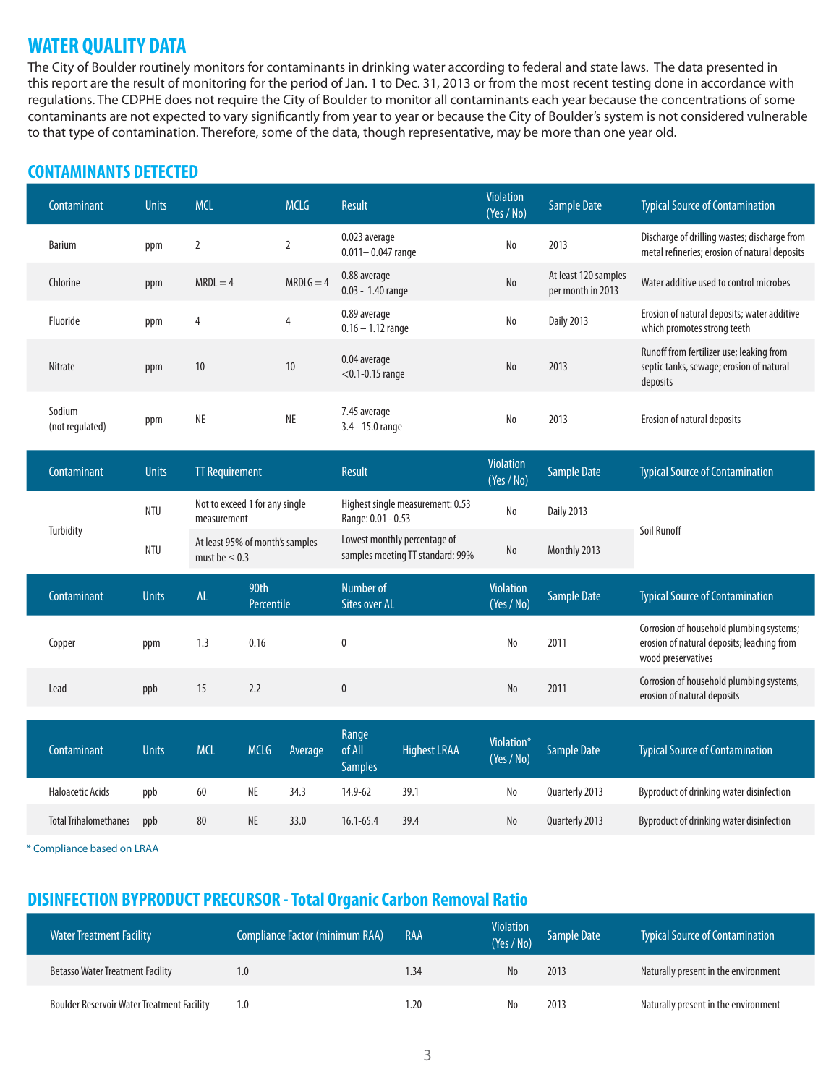#### **WATER QUALITY DATA**

The City of Boulder routinely monitors for contaminants in drinking water according to federal and state laws. The data presented in this report are the result of monitoring for the period of Jan. 1 to Dec. 31, 2013 or from the most recent testing done in accordance with regulations. The CDPHE does not require the City of Boulder to monitor all contaminants each year because the concentrations of some contaminants are not expected to vary significantly from year to year or because the City of Boulder's system is not considered vulnerable to that type of contamination. Therefore, some of the data, though representative, may be more than one year old.

#### **CONTAMINANTS DETECTED**

|  | Contaminant                  | <b>Units</b> | <b>MCL</b>                                            |                    | <b>MCLG</b>                                                      | Result                                 |                     | Violation<br>(Yes / No)        | <b>Sample Date</b>                        | <b>Typical Source of Contamination</b>                                                                       |
|--|------------------------------|--------------|-------------------------------------------------------|--------------------|------------------------------------------------------------------|----------------------------------------|---------------------|--------------------------------|-------------------------------------------|--------------------------------------------------------------------------------------------------------------|
|  | <b>Barium</b>                | ppm          | $\overline{2}$                                        |                    | $\overline{2}$                                                   | 0.023 average<br>$0.011 - 0.047$ range |                     | No                             | 2013                                      | Discharge of drilling wastes; discharge from<br>metal refineries; erosion of natural deposits                |
|  | Chlorine                     | ppm          | $MRDL = 4$                                            |                    | $MRDLG = 4$                                                      | 0.88 average<br>0.03 - 1.40 range      |                     | $\rm No$                       | At least 120 samples<br>per month in 2013 | Water additive used to control microbes                                                                      |
|  | Fluoride                     | ppm          | 4                                                     |                    | 0.89 average<br>$\overline{4}$<br>$0.16 - 1.12$ range            |                                        |                     | No                             | <b>Daily 2013</b>                         | Erosion of natural deposits; water additive<br>which promotes strong teeth                                   |
|  | <b>Nitrate</b>               | ppm          | 10                                                    | 10                 |                                                                  | 0.04 average<br>$<$ 0.1-0.15 range     |                     | No                             | 2013                                      | Runoff from fertilizer use; leaking from<br>septic tanks, sewage; erosion of natural<br>deposits             |
|  | Sodium<br>(not regulated)    | ppm          | <b>NE</b>                                             |                    | $\sf NE$                                                         | 7.45 average<br>3.4-15.0 range         |                     | No                             | 2013                                      | Erosion of natural deposits                                                                                  |
|  | Contaminant                  | <b>Units</b> | <b>TT Requirement</b>                                 |                    |                                                                  | Result                                 |                     | <b>Violation</b><br>(Yes / No) | <b>Sample Date</b>                        | <b>Typical Source of Contamination</b>                                                                       |
|  |                              | <b>NTU</b>   | Not to exceed 1 for any single<br>measurement         |                    | Highest single measurement: 0.53<br>Range: 0.01 - 0.53           |                                        | No                  | <b>Daily 2013</b>              | Soil Runoff                               |                                                                                                              |
|  | Turbidity                    | <b>NTU</b>   | At least 95% of month's samples<br>must be $\leq 0.3$ |                    | Lowest monthly percentage of<br>samples meeting TT standard: 99% |                                        | $\rm No$            | Monthly 2013                   |                                           |                                                                                                              |
|  | Contaminant                  | <b>Units</b> | <b>AL</b>                                             | 90th<br>Percentile |                                                                  | Number of<br><b>Sites over AL</b>      |                     | <b>Violation</b><br>(Yes / No) | <b>Sample Date</b>                        | <b>Typical Source of Contamination</b>                                                                       |
|  | Copper                       | ppm          | 1.3                                                   | 0.16               |                                                                  | $\mathbf 0$                            |                     | No                             | 2011                                      | Corrosion of household plumbing systems;<br>erosion of natural deposits; leaching from<br>wood preservatives |
|  | Lead                         | ppb          | 15                                                    | 2.2                |                                                                  | $\pmb{0}$                              |                     | No                             | 2011                                      | Corrosion of household plumbing systems,<br>erosion of natural deposits                                      |
|  | Contaminant                  | <b>Units</b> | <b>MCL</b>                                            | <b>MCLG</b>        | Average                                                          | Range<br>of All<br><b>Samples</b>      | <b>Highest LRAA</b> | Violation*<br>(Yes / No)       | <b>Sample Date</b>                        | <b>Typical Source of Contamination</b>                                                                       |
|  | <b>Haloacetic Acids</b>      | ppb          | 60                                                    | <b>NE</b>          | 34.3                                                             | 14.9-62                                | 39.1                | No                             | Quarterly 2013                            | Byproduct of drinking water disinfection                                                                     |
|  | <b>Total Trihalomethanes</b> | ppb          | 80                                                    | <b>NE</b>          | 33.0                                                             | $16.1 - 65.4$                          | 39.4                | N <sub>o</sub>                 | Quarterly 2013                            | Byproduct of drinking water disinfection                                                                     |

\* Compliance based on LRAA

#### **DISINFECTION BYPRODUCT PRECURSOR - Total Organic Carbon Removal Ratio**

| <b>Water Treatment Facility</b>                   | <b>Compliance Factor (minimum RAA)</b> | RAA  | <b>Violation</b><br>(Yes / No) | <b>Sample Date</b> | <b>Typical Source of Contamination</b> |
|---------------------------------------------------|----------------------------------------|------|--------------------------------|--------------------|----------------------------------------|
| <b>Betasso Water Treatment Facility</b>           | 1.0                                    | 1.34 | No                             | 2013               | Naturally present in the environment   |
| <b>Boulder Reservoir Water Treatment Facility</b> | $1.0\,$                                | 1.20 | No                             | 2013               | Naturally present in the environment   |